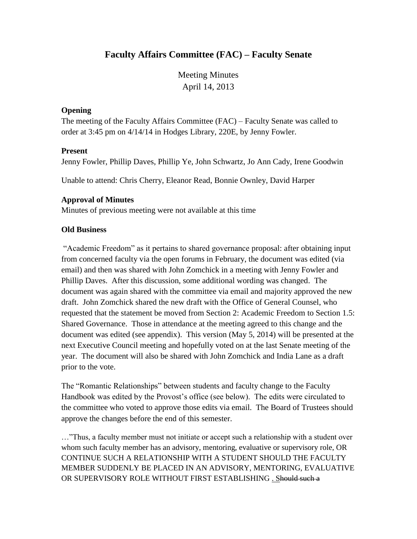# **Faculty Affairs Committee (FAC) – Faculty Senate**

Meeting Minutes April 14, 2013

#### **Opening**

The meeting of the Faculty Affairs Committee (FAC) – Faculty Senate was called to order at 3:45 pm on 4/14/14 in Hodges Library, 220E, by Jenny Fowler.

#### **Present**

Jenny Fowler, Phillip Daves, Phillip Ye, John Schwartz, Jo Ann Cady, Irene Goodwin

Unable to attend: Chris Cherry, Eleanor Read, Bonnie Ownley, David Harper

## **Approval of Minutes**

Minutes of previous meeting were not available at this time

## **Old Business**

"Academic Freedom" as it pertains to shared governance proposal: after obtaining input from concerned faculty via the open forums in February, the document was edited (via email) and then was shared with John Zomchick in a meeting with Jenny Fowler and Phillip Daves. After this discussion, some additional wording was changed. The document was again shared with the committee via email and majority approved the new draft. John Zomchick shared the new draft with the Office of General Counsel, who requested that the statement be moved from Section 2: Academic Freedom to Section 1.5: Shared Governance. Those in attendance at the meeting agreed to this change and the document was edited (see appendix). This version (May 5, 2014) will be presented at the next Executive Council meeting and hopefully voted on at the last Senate meeting of the year. The document will also be shared with John Zomchick and India Lane as a draft prior to the vote.

The "Romantic Relationships" between students and faculty change to the Faculty Handbook was edited by the Provost's office (see below). The edits were circulated to the committee who voted to approve those edits via email. The Board of Trustees should approve the changes before the end of this semester.

…"Thus, a faculty member must not initiate or accept such a relationship with a student over whom such faculty member has an advisory, mentoring, evaluative or supervisory role, OR CONTINUE SUCH A RELATIONSHIP WITH A STUDENT SHOULD THE FACULTY MEMBER SUDDENLY BE PLACED IN AN ADVISORY, MENTORING, EVALUATIVE OR SUPERVISORY ROLE WITHOUT FIRST ESTABLISHING . Should such a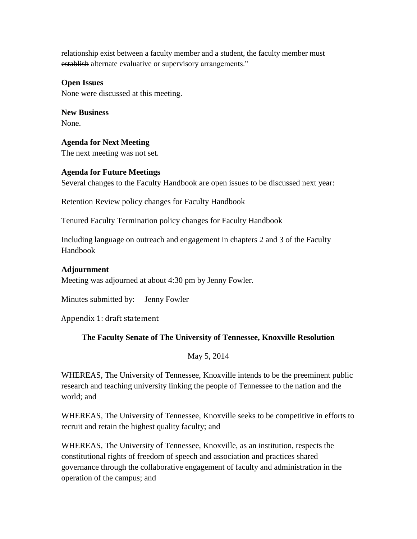relationship exist between a faculty member and a student, the faculty member must establish alternate evaluative or supervisory arrangements."

# **Open Issues**

None were discussed at this meeting.

**New Business** None.

**Agenda for Next Meeting** The next meeting was not set.

## **Agenda for Future Meetings**

Several changes to the Faculty Handbook are open issues to be discussed next year:

Retention Review policy changes for Faculty Handbook

Tenured Faculty Termination policy changes for Faculty Handbook

Including language on outreach and engagement in chapters 2 and 3 of the Faculty Handbook

#### **Adjournment**

Meeting was adjourned at about 4:30 pm by Jenny Fowler.

Minutes submitted by: Jenny Fowler

Appendix 1: draft statement

## **The Faculty Senate of The University of Tennessee, Knoxville Resolution**

May 5, 2014

WHEREAS, The University of Tennessee, Knoxville intends to be the preeminent public research and teaching university linking the people of Tennessee to the nation and the world; and

WHEREAS, The University of Tennessee, Knoxville seeks to be competitive in efforts to recruit and retain the highest quality faculty; and

WHEREAS, The University of Tennessee, Knoxville, as an institution, respects the constitutional rights of freedom of speech and association and practices shared governance through the collaborative engagement of faculty and administration in the operation of the campus; and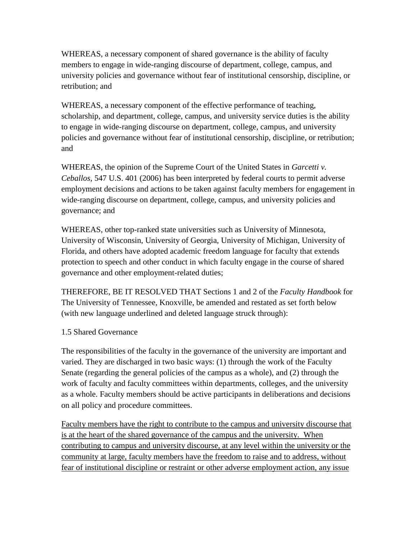WHEREAS, a necessary component of shared governance is the ability of faculty members to engage in wide-ranging discourse of department, college, campus, and university policies and governance without fear of institutional censorship, discipline, or retribution; and

WHEREAS, a necessary component of the effective performance of teaching, scholarship, and department, college, campus, and university service duties is the ability to engage in wide-ranging discourse on department, college, campus, and university policies and governance without fear of institutional censorship, discipline, or retribution; and

WHEREAS, the opinion of the Supreme Court of the United States in *Garcetti v. Ceballos*, 547 U.S. 401 (2006) has been interpreted by federal courts to permit adverse employment decisions and actions to be taken against faculty members for engagement in wide-ranging discourse on department, college, campus, and university policies and governance; and

WHEREAS, other top-ranked state universities such as University of Minnesota, University of Wisconsin, University of Georgia, University of Michigan, University of Florida, and others have adopted academic freedom language for faculty that extends protection to speech and other conduct in which faculty engage in the course of shared governance and other employment-related duties;

THEREFORE, BE IT RESOLVED THAT Sections 1 and 2 of the *Faculty Handbook* for The University of Tennessee, Knoxville, be amended and restated as set forth below (with new language underlined and deleted language struck through):

## 1.5 Shared Governance

The responsibilities of the faculty in the governance of the university are important and varied. They are discharged in two basic ways: (1) through the work of the Faculty Senate (regarding the general policies of the campus as a whole), and (2) through the work of faculty and faculty committees within departments, colleges, and the university as a whole. Faculty members should be active participants in deliberations and decisions on all policy and procedure committees.

Faculty members have the right to contribute to the campus and university discourse that is at the heart of the shared governance of the campus and the university. When contributing to campus and university discourse, at any level within the university or the community at large, faculty members have the freedom to raise and to address, without fear of institutional discipline or restraint or other adverse employment action, any issue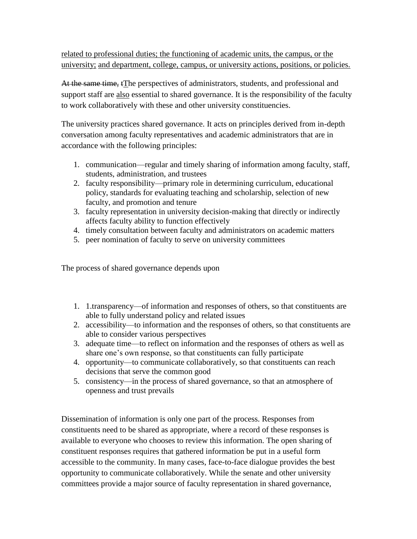related to professional duties; the functioning of academic units, the campus, or the university; and department, college, campus, or university actions, positions, or policies.

At the same time, tThe perspectives of administrators, students, and professional and support staff are also essential to shared governance. It is the responsibility of the faculty to work collaboratively with these and other university constituencies.

The university practices shared governance. It acts on principles derived from in-depth conversation among faculty representatives and academic administrators that are in accordance with the following principles:

- 1. communication—regular and timely sharing of information among faculty, staff, students, administration, and trustees
- 2. faculty responsibility—primary role in determining curriculum, educational policy, standards for evaluating teaching and scholarship, selection of new faculty, and promotion and tenure
- 3. faculty representation in university decision-making that directly or indirectly affects faculty ability to function effectively
- 4. timely consultation between faculty and administrators on academic matters
- 5. peer nomination of faculty to serve on university committees

The process of shared governance depends upon

- 1. 1.transparency—of information and responses of others, so that constituents are able to fully understand policy and related issues
- 2. accessibility—to information and the responses of others, so that constituents are able to consider various perspectives
- 3. adequate time—to reflect on information and the responses of others as well as share one's own response, so that constituents can fully participate
- 4. opportunity—to communicate collaboratively, so that constituents can reach decisions that serve the common good
- 5. consistency—in the process of shared governance, so that an atmosphere of openness and trust prevails

Dissemination of information is only one part of the process. Responses from constituents need to be shared as appropriate, where a record of these responses is available to everyone who chooses to review this information. The open sharing of constituent responses requires that gathered information be put in a useful form accessible to the community. In many cases, face-to-face dialogue provides the best opportunity to communicate collaboratively. While the senate and other university committees provide a major source of faculty representation in shared governance,